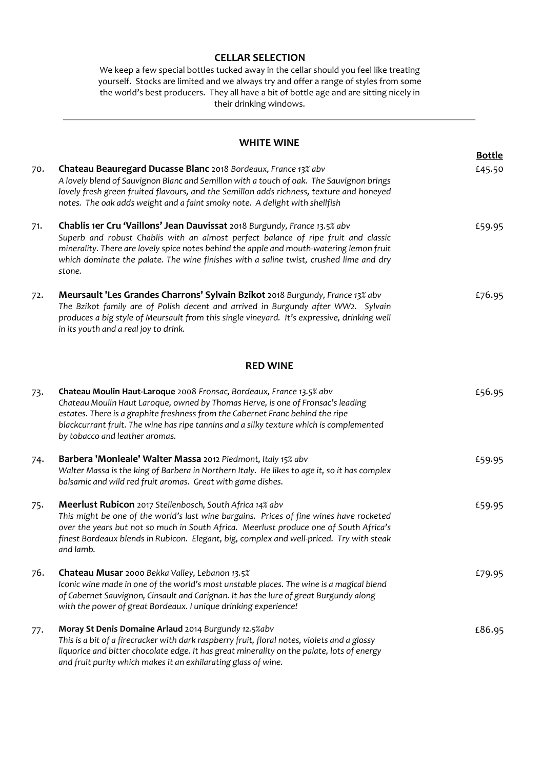### **CELLAR SELECTION**

We keep a few special bottles tucked away in the cellar should you feel like treating yourself. Stocks are limited and we always try and offer a range of styles from some the world's best producers. They all have a bit of bottle age and are sitting nicely in their drinking windows.

### **WHITE WINE**

|     |                                                                                                                                                                                                                                                                                                                                                                        | <b>Bottle</b> |
|-----|------------------------------------------------------------------------------------------------------------------------------------------------------------------------------------------------------------------------------------------------------------------------------------------------------------------------------------------------------------------------|---------------|
| 70. | Chateau Beauregard Ducasse Blanc 2018 Bordeaux, France 13% abv<br>A lovely blend of Sauvignon Blanc and Semillon with a touch of oak. The Sauvignon brings<br>lovely fresh green fruited flavours, and the Semillon adds richness, texture and honeyed<br>notes. The oak adds weight and a faint smoky note. A delight with shellfish                                  | £45.50        |
| 71. | Chablis 1er Cru 'Vaillons' Jean Dauvissat 2018 Burgundy, France 13.5% abv<br>Superb and robust Chablis with an almost perfect balance of ripe fruit and classic<br>minerality. There are lovely spice notes behind the apple and mouth-watering lemon fruit<br>which dominate the palate. The wine finishes with a saline twist, crushed lime and dry<br>stone.        | £59.95        |
| 72. | Meursault 'Les Grandes Charrons' Sylvain Bzikot 2018 Burgundy, France 13% abv<br>The Bzikot family are of Polish decent and arrived in Burgundy after WW2. Sylvain<br>produces a big style of Meursault from this single vineyard. It's expressive, drinking well<br>in its youth and a real joy to drink.                                                             | £76.95        |
|     | <b>RED WINE</b>                                                                                                                                                                                                                                                                                                                                                        |               |
| 73. | Chateau Moulin Haut-Laroque 2008 Fronsac, Bordeaux, France 13.5% abv<br>Chateau Moulin Haut Laroque, owned by Thomas Herve, is one of Fronsac's leading<br>estates. There is a graphite freshness from the Cabernet Franc behind the ripe<br>blackcurrant fruit. The wine has ripe tannins and a silky texture which is complemented<br>by tobacco and leather aromas. | £56.95        |
| 74. | Barbera 'Monleale' Walter Massa 2012 Piedmont, Italy 15% abv<br>Walter Massa is the king of Barbera in Northern Italy. He likes to age it, so it has complex<br>balsamic and wild red fruit aromas. Great with game dishes.                                                                                                                                            | £59.95        |
| 75. | Meerlust Rubicon 2017 Stellenbosch, South Africa 14% abv<br>This might be one of the world's last wine bargains. Prices of fine wines have rocketed<br>over the years but not so much in South Africa. Meerlust produce one of South Africa's<br>finest Bordeaux blends in Rubicon. Elegant, big, complex and well-priced. Try with steak<br>and lamb.                 | £59.95        |
| 76. | Chateau Musar 2000 Bekka Valley, Lebanon 13.5%<br>Iconic wine made in one of the world's most unstable places. The wine is a magical blend<br>of Cabernet Sauvignon, Cinsault and Carignan. It has the lure of great Burgundy along<br>with the power of great Bordeaux. I unique drinking experience!                                                                 | £79.95        |
| 77. | Moray St Denis Domaine Arlaud 2014 Burgundy 12.5%abv<br>This is a bit of a firecracker with dark raspberry fruit, floral notes, violets and a glossy<br>liquorice and bitter chocolate edge. It has great minerality on the palate, lots of energy<br>and fruit purity which makes it an exhilarating glass of wine.                                                   | £86.95        |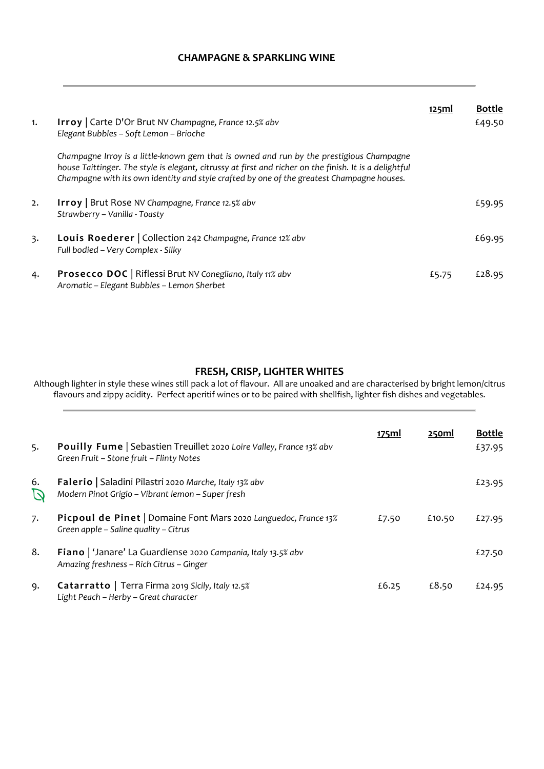# **CHAMPAGNE & SPARKLING WINE**

| 1. | <b>Irroy</b>   Carte D'Or Brut NV Champagne, France 12.5% abv<br>Elegant Bubbles - Soft Lemon - Brioche                                                                                                                                                                                          | 125ml | <b>Bottle</b><br>£49.50 |
|----|--------------------------------------------------------------------------------------------------------------------------------------------------------------------------------------------------------------------------------------------------------------------------------------------------|-------|-------------------------|
|    | Champagne Irroy is a little-known gem that is owned and run by the prestigious Champagne<br>house Taittinger. The style is elegant, citrussy at first and richer on the finish. It is a delightful<br>Champagne with its own identity and style crafted by one of the greatest Champagne houses. |       |                         |
| 2. | <b>Irroy</b>   Brut Rose NV Champagne, France 12.5% abv<br>Strawberry – Vanilla - Toasty                                                                                                                                                                                                         |       | £59.95                  |
| 3. | <b>Louis Roederer</b>   Collection 242 Champagne, France 12% abv<br>Full bodied - Very Complex - Silky                                                                                                                                                                                           |       | £69.95                  |
| 4. | Prosecco DOC   Riflessi Brut NV Conegliano, Italy 11% abv<br>Aromatic - Elegant Bubbles - Lemon Sherbet                                                                                                                                                                                          | £5.75 | £28.95                  |

# **FRESH, CRISP, LIGHTER WHITES**

Although lighter in style these wines still pack a lot of flavour. All are unoaked and are characterised by bright lemon/citrus flavours and zippy acidity. Perfect aperitif wines or to be paired with shellfish, lighter fish dishes and vegetables.

| 5. | <b>Pouilly Fume</b> Sebastien Treuillet 2020 Loire Valley, France 13% abv<br>Green Fruit - Stone fruit - Flinty Notes | 175ml | 250ml  | <b>Bottle</b><br>£37.95 |
|----|-----------------------------------------------------------------------------------------------------------------------|-------|--------|-------------------------|
| 6. | Falerio   Saladini Pilastri 2020 Marche, Italy 13% abv<br>Modern Pinot Grigio - Vibrant lemon - Super fresh           |       |        | £23.95                  |
| 7. | Picpoul de Pinet   Domaine Font Mars 2020 Languedoc, France 13%<br>Green apple – Saline quality – Citrus              | £7.50 | £10.50 | £27.95                  |
| 8. | <b>Fiano</b>   'Janare' La Guardiense 2020 Campania, Italy 13.5% abv<br>Amazing freshness – Rich Citrus – Ginger      |       |        | £27.50                  |
| 9. | Catarratto   Terra Firma 2019 Sicily, Italy 12.5%<br>Light Peach - Herby - Great character                            | £6.25 | £8.50  | £24.95                  |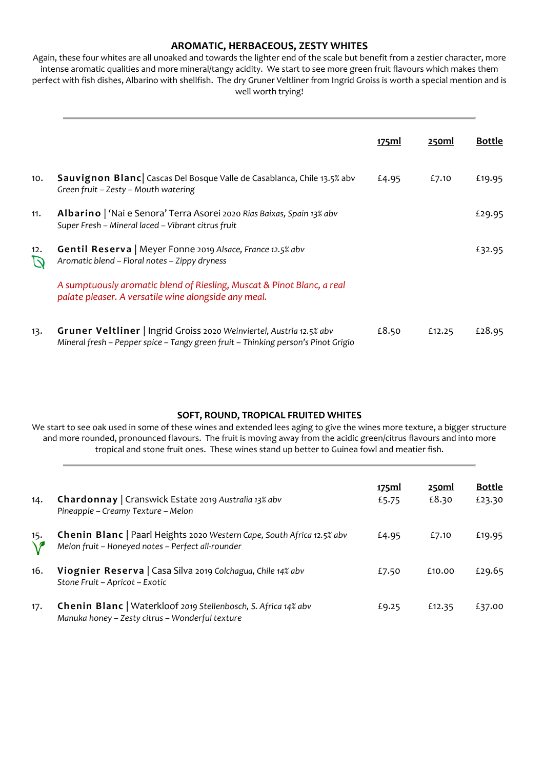# **AROMATIC, HERBACEOUS, ZESTY WHITES**

Again, these four whites are all unoaked and towards the lighter end of the scale but benefit from a zestier character, more intense aromatic qualities and more mineral/tangy acidity. We start to see more green fruit flavours which makes them perfect with fish dishes, Albarino with shellfish. The dry Gruner Veltliner from Ingrid Groiss is worth a special mention and is well worth trying!

|          |                                                                                                                                                           | <u>175ml</u> | <u>250ml</u> | <b>Bottle</b> |
|----------|-----------------------------------------------------------------------------------------------------------------------------------------------------------|--------------|--------------|---------------|
| 10.      | Sauvignon Blanc   Cascas Del Bosque Valle de Casablanca, Chile 13.5% abv<br>Green fruit – Zesty – Mouth watering                                          | £4.95        | £7.10        | £19.95        |
| 11.      | Albarino   'Nai e Senora' Terra Asorei 2020 Rias Baixas, Spain 13% abv<br>Super Fresh - Mineral laced - Vibrant citrus fruit                              |              |              | £29.95        |
| 12.<br>D | Gentil Reserva   Meyer Fonne 2019 Alsace, France 12.5% abv<br>Aromatic blend - Floral notes - Zippy dryness                                               |              |              | £32.95        |
|          | A sumptuously aromatic blend of Riesling, Muscat & Pinot Blanc, a real<br>palate pleaser. A versatile wine alongside any meal.                            |              |              |               |
| 13.      | Gruner Veltliner   Ingrid Groiss 2020 Weinviertel, Austria 12.5% abv<br>Mineral fresh - Pepper spice - Tangy green fruit - Thinking person's Pinot Grigio | £8.50        | £12.25       | £28.95        |

# **SOFT, ROUND, TROPICAL FRUITED WHITES**

We start to see oak used in some of these wines and extended lees aging to give the wines more texture, a bigger structure and more rounded, pronounced flavours. The fruit is moving away from the acidic green/citrus flavours and into more tropical and stone fruit ones. These wines stand up better to Guinea fowl and meatier fish.

| 14. | Chardonnay   Cranswick Estate 2019 Australia 13% abv<br>Pineapple – Creamy Texture – Melon                                         | <u>175ml</u><br>£5.75 | <u>250ml</u><br>£8.30 | <b>Bottle</b><br>£23.30 |
|-----|------------------------------------------------------------------------------------------------------------------------------------|-----------------------|-----------------------|-------------------------|
| 15. | <b>Chenin Blanc</b>   Paarl Heights 2020 Western Cape, South Africa 12.5% abv<br>Melon fruit - Honeyed notes - Perfect all-rounder | £4.95                 | £7.10                 | £19.95                  |
| 16. | Viognier Reserva   Casa Silva 2019 Colchagua, Chile 14% abv<br>Stone Fruit - Apricot - Exotic                                      | £7.50                 | £10.00                | £29.65                  |
| 17. | Chenin Blanc   Waterkloof 2019 Stellenbosch, S. Africa 14% abv<br>Manuka honey - Zesty citrus - Wonderful texture                  | £9.25                 | £12.35                | £37.00                  |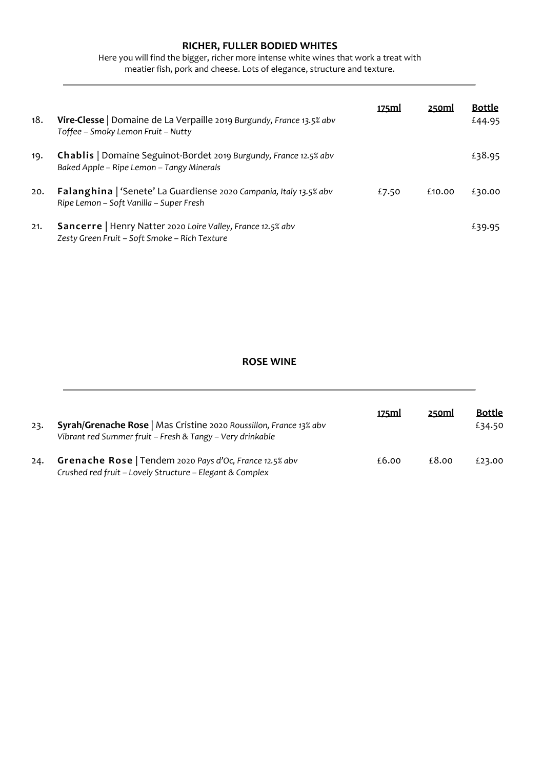# **RICHER, FULLER BODIED WHITES**

Here you will find the bigger, richer more intense white wines that work a treat with meatier fish, pork and cheese. Lots of elegance, structure and texture.

| 18. | <b>Vire-Clesse</b>   Domaine de La Verpaille 2019 Burgundy, France 13.5% abv<br>Toffee - Smoky Lemon Fruit - Nutty   | <u>175ml</u> | 250ml  | <b>Bottle</b><br>£44.95 |
|-----|----------------------------------------------------------------------------------------------------------------------|--------------|--------|-------------------------|
| 19. | Chablis   Domaine Seguinot-Bordet 2019 Burgundy, France 12.5% abv<br>Baked Apple - Ripe Lemon - Tangy Minerals       |              |        | £38.95                  |
| 20. | <b>Falanghina</b>   'Senete' La Guardiense 2020 Campania, Italy 13.5% abv<br>Ripe Lemon – Soft Vanilla – Super Fresh | £7.50        | £10.00 | £30.00                  |
| 21. | Sancerre   Henry Natter 2020 Loire Valley, France 12.5% abv<br>Zesty Green Fruit - Soft Smoke - Rich Texture         |              |        | £39.95                  |

#### **ROSE WINE**

| 23. | Syrah/Grenache Rose   Mas Cristine 2020 Roussillon, France 13% abv<br>Vibrant red Summer fruit - Fresh & Tangy - Very drinkable | 175ml | 250ml | <b>Bottle</b><br>£34.50 |
|-----|---------------------------------------------------------------------------------------------------------------------------------|-------|-------|-------------------------|
| 24. | Grenache Rose   Tendem 2020 Pays d'Oc, France 12.5% abv<br>Crushed red fruit – Lovely Structure – Elegant & Complex             | £6.00 | £8.00 | £23.00                  |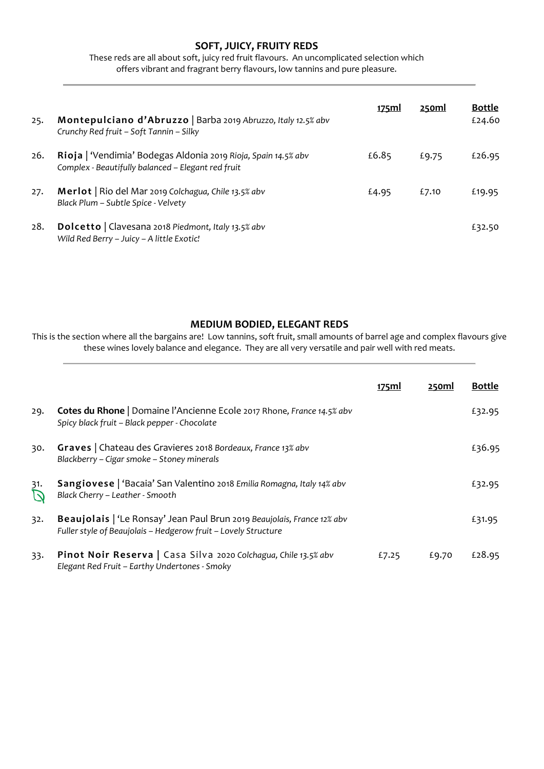# **SOFT, JUICY, FRUITY REDS**

These reds are all about soft, juicy red fruit flavours. An uncomplicated selection which offers vibrant and fragrant berry flavours, low tannins and pure pleasure.

| 25. | Montepulciano d'Abruzzo   Barba 2019 Abruzzo, Italy 12.5% abv<br>Crunchy Red fruit - Soft Tannin - Silky             | 175ml | 250ml | <b>Bottle</b><br>£24.60 |
|-----|----------------------------------------------------------------------------------------------------------------------|-------|-------|-------------------------|
| 26. | Rioja   'Vendimia' Bodegas Aldonia 2019 Rioja, Spain 14.5% abv<br>Complex - Beautifully balanced - Elegant red fruit | £6.85 | £9.75 | £26.95                  |
| 27. | Merlot   Rio del Mar 2019 Colchagua, Chile 13.5% abv<br>Black Plum - Subtle Spice - Velvety                          | £4.95 | £7.10 | £19.95                  |
| 28. | Dolcetto   Clavesana 2018 Piedmont, Italy 13.5% abv<br>Wild Red Berry - Juicy - A little Exotic!                     |       |       | £32.50                  |

### **MEDIUM BODIED, ELEGANT REDS**

This is the section where all the bargains are! Low tannins, soft fruit, small amounts of barrel age and complex flavours give these wines lovely balance and elegance. They are all very versatile and pair well with red meats.

|     |                                                                                                                                           | 175ml | 250ml | <b>Bottle</b> |
|-----|-------------------------------------------------------------------------------------------------------------------------------------------|-------|-------|---------------|
| 29. | <b>Cotes du Rhone</b>   Domaine l'Ancienne Ecole 2017 Rhone, France 14.5% abv<br>Spicy black fruit - Black pepper - Chocolate             |       |       | £32.95        |
| 30. | <b>Graves</b>   Chateau des Gravieres 2018 Bordeaux, France 13% abv<br>Blackberry - Cigar smoke - Stoney minerals                         |       |       | £36.95        |
| 31. | Sangiovese   'Bacaia' San Valentino 2018 Emilia Romagna, Italy 14% abv<br>Black Cherry - Leather - Smooth                                 |       |       | £32.95        |
| 32. | Beaujolais   'Le Ronsay' Jean Paul Brun 2019 Beaujolais, France 12% abv<br>Fuller style of Beaujolais - Hedgerow fruit - Lovely Structure |       |       | £31.95        |
| 33. | Pinot Noir Reserva   Casa Silva 2020 Colchagua, Chile 13.5% abv<br>Elegant Red Fruit - Earthy Undertones - Smoky                          | £7.25 | £9.70 | £28.95        |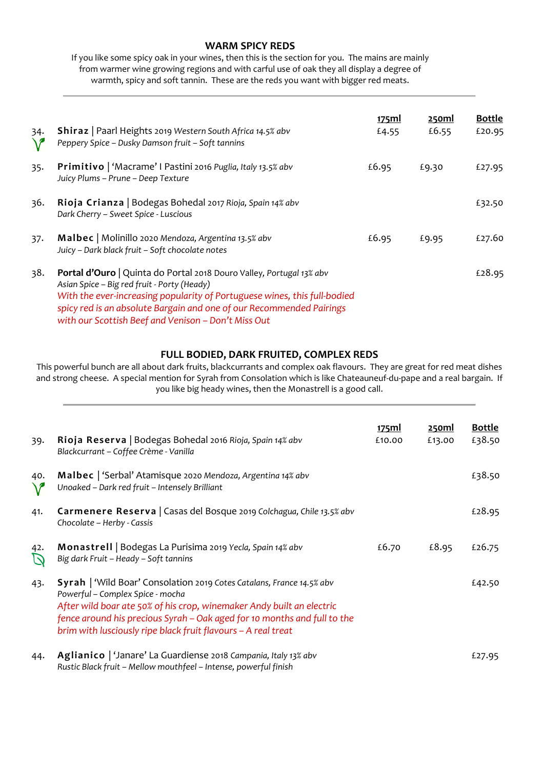### **WARM SPICY REDS**

If you like some spicy oak in your wines, then this is the section for you. The mains are mainly from warmer wine growing regions and with carful use of oak they all display a degree of warmth, spicy and soft tannin. These are the reds you want with bigger red meats.

| 34.<br>$\mathcal{V}$ | <b>Shiraz</b>   Paarl Heights 2019 Western South Africa 14.5% abv<br>Peppery Spice - Dusky Damson fruit - Soft tannins                                                                                                                                                                                                          | <u>175ml</u><br>£4.55 | <u>250ml</u><br>£6.55 | <b>Bottle</b><br>£20.95 |
|----------------------|---------------------------------------------------------------------------------------------------------------------------------------------------------------------------------------------------------------------------------------------------------------------------------------------------------------------------------|-----------------------|-----------------------|-------------------------|
| 35.                  | Primitivo   'Macrame' I Pastini 2016 Puglia, Italy 13.5% abv<br>Juicy Plums – Prune – Deep Texture                                                                                                                                                                                                                              | £6.95                 | £9.30                 | £27.95                  |
| 36.                  | Rioja Crianza   Bodegas Bohedal 2017 Rioja, Spain 14% abv<br>Dark Cherry - Sweet Spice - Luscious                                                                                                                                                                                                                               |                       |                       | £32.50                  |
| 37.                  | Malbec   Molinillo 2020 Mendoza, Argentina 13.5% abv<br>Juicy - Dark black fruit - Soft chocolate notes                                                                                                                                                                                                                         | £6.95                 | £9.95                 | £27.60                  |
| 38.                  | Portal d'Ouro   Quinta do Portal 2018 Douro Valley, Portugal 13% abv<br>Asian Spice - Big red fruit - Porty (Heady)<br>With the ever-increasing popularity of Portuguese wines, this full-bodied<br>spicy red is an absolute Bargain and one of our Recommended Pairings<br>with our Scottish Beef and Venison - Don't Miss Out |                       |                       | £28.95                  |

### **FULL BODIED, DARK FRUITED, COMPLEX REDS**

This powerful bunch are all about dark fruits, blackcurrants and complex oak flavours. They are great for red meat dishes and strong cheese. A special mention for Syrah from Consolation which is like Chateauneuf-du-pape and a real bargain. If you like big heady wines, then the Monastrell is a good call.

|                  |                                                                                                                                                                                                                                                                                                                                        | <u>175ml</u> | <u>250ml</u> | <b>Bottle</b> |
|------------------|----------------------------------------------------------------------------------------------------------------------------------------------------------------------------------------------------------------------------------------------------------------------------------------------------------------------------------------|--------------|--------------|---------------|
| 39.              | Rioja Reserva   Bodegas Bohedal 2016 Rioja, Spain 14% abv<br>Blackcurrant - Coffee Crème - Vanilla                                                                                                                                                                                                                                     | £10.00       | £13.00       | £38.50        |
| 40.<br>$\bigvee$ | Malbec   'Serbal' Atamisque 2020 Mendoza, Argentina 14% abv<br>Unoaked - Dark red fruit - Intensely Brilliant                                                                                                                                                                                                                          |              |              | £38.50        |
| 41.              | Carmenere Reserva   Casas del Bosque 2019 Colchagua, Chile 13.5% abv<br>Chocolate - Herby - Cassis                                                                                                                                                                                                                                     |              |              | £28.95        |
| 42.<br>D         | Monastrell   Bodegas La Purisima 2019 Yecla, Spain 14% abv<br>Big dark Fruit - Heady - Soft tannins                                                                                                                                                                                                                                    | £6.70        | £8.95        | £26.75        |
| 43.              | <b>Syrah</b>   'Wild Boar' Consolation 2019 Cotes Catalans, France 14.5% abv<br>Powerful - Complex Spice - mocha<br>After wild boar ate 50% of his crop, winemaker Andy built an electric<br>fence around his precious Syrah – Oak aged for 10 months and full to the<br>brim with lusciously ripe black fruit flavours - A real treat |              |              | £42.50        |
| 44.              | Aglianico   'Janare' La Guardiense 2018 Campania, Italy 13% abv<br>Rustic Black fruit - Mellow mouthfeel - Intense, powerful finish                                                                                                                                                                                                    |              |              | £27.95        |